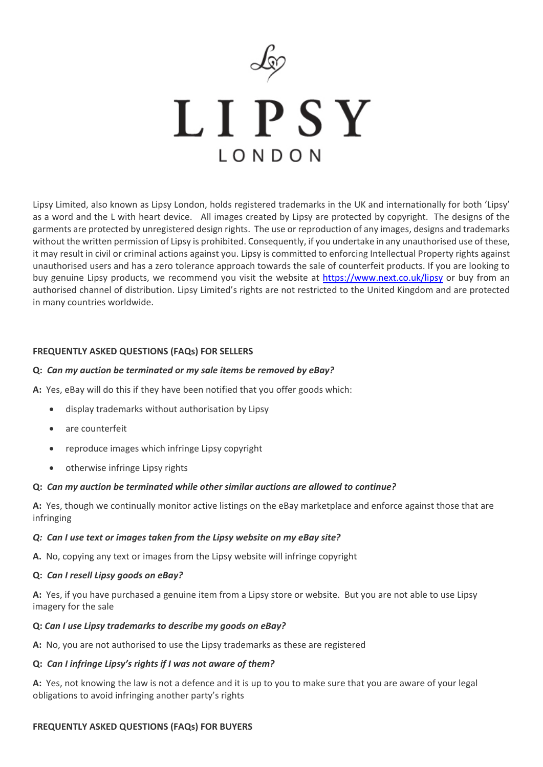

LIPSY  $I$   $O$   $N$   $D$   $O$   $N$ 

Lipsy Limited, also known as Lipsy London, holds registered trademarks in the UK and internationally for both 'Lipsy' as a word and the L with heart device. All images created by Lipsy are protected by copyright. The designs of the garments are protected by unregistered design rights. The use or reproduction of any images, designs and trademarks without the written permission of Lipsy is prohibited. Consequently, if you undertake in any unauthorised use of these, it may result in civil or criminal actions against you. Lipsy is committed to enforcing Intellectual Property rights against unauthorised users and has a zero tolerance approach towards the sale of counterfeit products. If you are looking to buy genuine Lipsy products, we recommend you visit the website at<https://www.next.co.uk/lipsy> or buy from an authorised channel of distribution. Lipsy Limited's rights are not restricted to the United Kingdom and are protected in many countries worldwide.

#### **FREQUENTLY ASKED QUESTIONS (FAQs) FOR SELLERS**

#### **Q:** *Can my auction be terminated or my sale items be removed by eBay?*

**A:** Yes, eBay will do this if they have been notified that you offer goods which:

- display trademarks without authorisation by Lipsy
- are counterfeit
- reproduce images which infringe Lipsy copyright
- otherwise infringe Lipsy rights

### **Q:** *Can my auction be terminated while other similar auctions are allowed to continue?*

**A:** Yes, though we continually monitor active listings on the eBay marketplace and enforce against those that are infringing

#### *Q: Can I use text or images taken from the Lipsy website on my eBay site?*

**A.** No, copying any text or images from the Lipsy website will infringe copyright

#### **Q:** *Can I resell Lipsy goods on eBay?*

**A:** Yes, if you have purchased a genuine item from a Lipsy store or website. But you are not able to use Lipsy imagery for the sale

#### **Q:** *Can I use Lipsy trademarks to describe my goods on eBay?*

**A:** No, you are not authorised to use the Lipsy trademarks as these are registered

# **Q:** *Can I infringe Lipsy's rights if I was not aware of them?*

**A:** Yes, not knowing the law is not a defence and it is up to you to make sure that you are aware of your legal obligations to avoid infringing another party's rights

# **FREQUENTLY ASKED QUESTIONS (FAQs) FOR BUYERS**